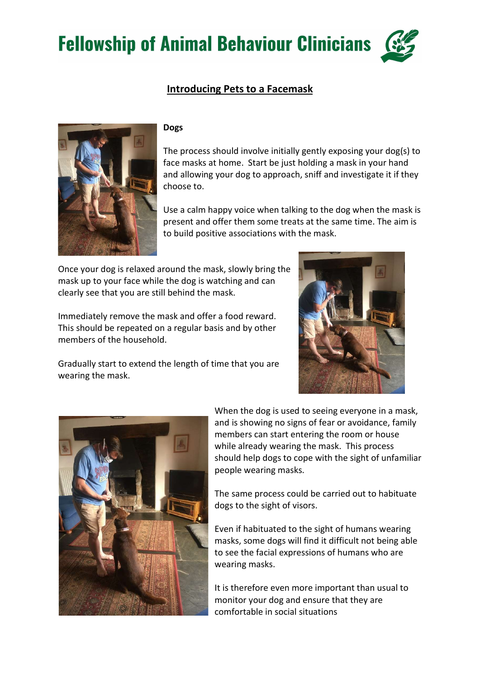**Fellowship of Animal Behaviour Clinicians** 

## Introducing Pets to a Facemask



## Dogs

The process should involve initially gently exposing your dog(s) to face masks at home. Start be just holding a mask in your hand and allowing your dog to approach, sniff and investigate it if they choose to.

Use a calm happy voice when talking to the dog when the mask is present and offer them some treats at the same time. The aim is to build positive associations with the mask.

Once your dog is relaxed around the mask, slowly bring the mask up to your face while the dog is watching and can clearly see that you are still behind the mask.

Immediately remove the mask and offer a food reward. This should be repeated on a regular basis and by other members of the household.

Gradually start to extend the length of time that you are wearing the mask.



When the dog is used to seeing everyone in a mask, and is showing no signs of fear or avoidance, family members can start entering the room or house while already wearing the mask. This process should help dogs to cope with the sight of unfamiliar people wearing masks.

The same process could be carried out to habituate dogs to the sight of visors.

Even if habituated to the sight of humans wearing masks, some dogs will find it difficult not being able to see the facial expressions of humans who are wearing masks.

It is therefore even more important than usual to monitor your dog and ensure that they are comfortable in social situations